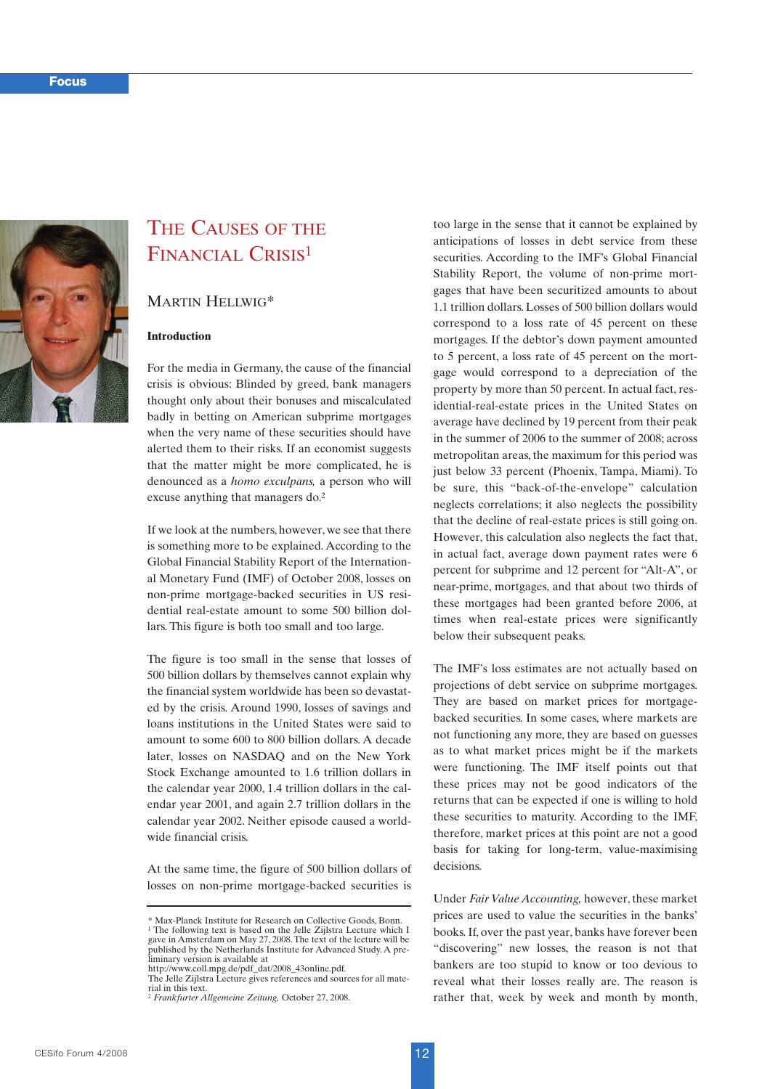

# THE CAUSES OF THE FINANCIAL CRISIS<sup>1</sup>

MARTIN HELLWIG\*

# **Introduction**

For the media in Germany, the cause of the financial crisis is obvious: Blinded by greed, bank managers thought only about their bonuses and miscalculated badly in betting on American subprime mortgages when the very name of these securities should have alerted them to their risks. If an economist suggests that the matter might be more complicated, he is denounced as a *homo exculpans,* a person who will excuse anything that managers do.2

If we look at the numbers, however, we see that there is something more to be explained. According to the Global Financial Stability Report of the International Monetary Fund (IMF) of October 2008, losses on non-prime mortgage-backed securities in US residential real-estate amount to some 500 billion dollars. This figure is both too small and too large.

The figure is too small in the sense that losses of 500 billion dollars by themselves cannot explain why the financial system worldwide has been so devastated by the crisis. Around 1990, losses of savings and loans institutions in the United States were said to amount to some 600 to 800 billion dollars. A decade later, losses on NASDAQ and on the New York Stock Exchange amounted to 1.6 trillion dollars in the calendar year 2000, 1.4 trillion dollars in the calendar year 2001, and again 2.7 trillion dollars in the calendar year 2002. Neither episode caused a worldwide financial crisis.

At the same time, the figure of 500 billion dollars of losses on non-prime mortgage-backed securities is too large in the sense that it cannot be explained by anticipations of losses in debt service from these securities. According to the IMF's Global Financial Stability Report, the volume of non-prime mortgages that have been securitized amounts to about 1.1 trillion dollars. Losses of 500 billion dollars would correspond to a loss rate of 45 percent on these mortgages. If the debtor's down payment amounted to 5 percent, a loss rate of 45 percent on the mortgage would correspond to a depreciation of the property by more than 50 percent. In actual fact, residential-real-estate prices in the United States on average have declined by 19 percent from their peak in the summer of 2006 to the summer of 2008; across metropolitan areas, the maximum for this period was just below 33 percent (Phoenix, Tampa, Miami). To be sure, this "back-of-the-envelope" calculation neglects correlations; it also neglects the possibility that the decline of real-estate prices is still going on. However, this calculation also neglects the fact that, in actual fact, average down payment rates were 6 percent for subprime and 12 percent for "Alt-A", or near-prime, mortgages, and that about two thirds of these mortgages had been granted before 2006, at times when real-estate prices were significantly below their subsequent peaks.

The IMF's loss estimates are not actually based on projections of debt service on subprime mortgages. They are based on market prices for mortgagebacked securities. In some cases, where markets are not functioning any more, they are based on guesses as to what market prices might be if the markets were functioning. The IMF itself points out that these prices may not be good indicators of the returns that can be expected if one is willing to hold these securities to maturity. According to the IMF, therefore, market prices at this point are not a good basis for taking for long-term, value-maximising decisions.

Under *Fair Value Accounting,* however, these market prices are used to value the securities in the banks' books. If, over the past year, banks have forever been "discovering" new losses, the reason is not that bankers are too stupid to know or too devious to reveal what their losses really are. The reason is rather that, week by week and month by month,

<sup>\*</sup> Max-Planck Institute for Research on Collective Goods, Bonn. <sup>1</sup> The following text is based on the Jelle Zijlstra Lecture which I gave in Amsterdam on May 27, 2008. The text of the lecture will be published by the Netherlands Institute for Advanced Study. A pre-liminary version is available at

http://www.coll.mpg.de/pdf\_dat/2008\_43online.pdf.

The Jelle Zijlstra Lecture gives references and sources for all material in this text.

<sup>2</sup> *Frankfurter Allgemeine Zeitung,* October 27, 2008.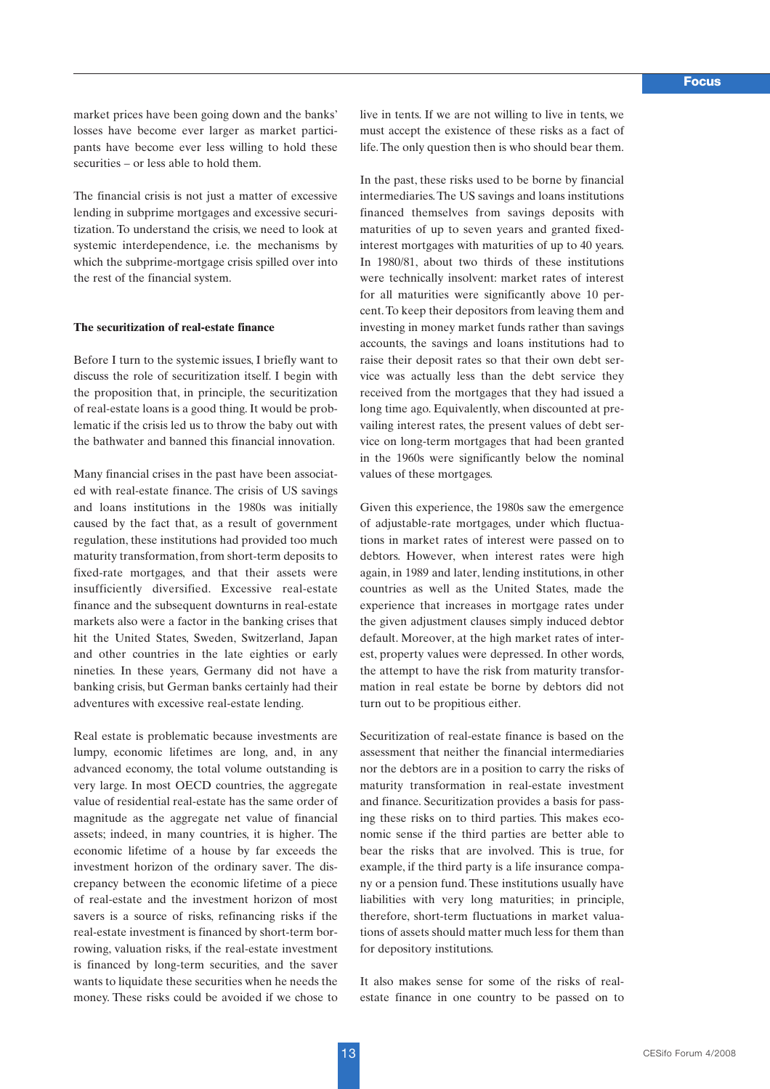market prices have been going down and the banks' losses have become ever larger as market participants have become ever less willing to hold these securities – or less able to hold them.

The financial crisis is not just a matter of excessive lending in subprime mortgages and excessive securitization. To understand the crisis, we need to look at systemic interdependence, i.e. the mechanisms by which the subprime-mortgage crisis spilled over into the rest of the financial system.

### **The securitization of real-estate finance**

Before I turn to the systemic issues, I briefly want to discuss the role of securitization itself. I begin with the proposition that, in principle, the securitization of real-estate loans is a good thing. It would be problematic if the crisis led us to throw the baby out with the bathwater and banned this financial innovation.

Many financial crises in the past have been associated with real-estate finance. The crisis of US savings and loans institutions in the 1980s was initially caused by the fact that, as a result of government regulation, these institutions had provided too much maturity transformation, from short-term deposits to fixed-rate mortgages, and that their assets were insufficiently diversified. Excessive real-estate finance and the subsequent downturns in real-estate markets also were a factor in the banking crises that hit the United States, Sweden, Switzerland, Japan and other countries in the late eighties or early nineties. In these years, Germany did not have a banking crisis, but German banks certainly had their adventures with excessive real-estate lending.

Real estate is problematic because investments are lumpy, economic lifetimes are long, and, in any advanced economy, the total volume outstanding is very large. In most OECD countries, the aggregate value of residential real-estate has the same order of magnitude as the aggregate net value of financial assets; indeed, in many countries, it is higher. The economic lifetime of a house by far exceeds the investment horizon of the ordinary saver. The discrepancy between the economic lifetime of a piece of real-estate and the investment horizon of most savers is a source of risks, refinancing risks if the real-estate investment is financed by short-term borrowing, valuation risks, if the real-estate investment is financed by long-term securities, and the saver wants to liquidate these securities when he needs the money. These risks could be avoided if we chose to live in tents. If we are not willing to live in tents, we must accept the existence of these risks as a fact of life. The only question then is who should bear them.

In the past, these risks used to be borne by financial intermediaries.The US savings and loans institutions financed themselves from savings deposits with maturities of up to seven years and granted fixedinterest mortgages with maturities of up to 40 years. In 1980/81, about two thirds of these institutions were technically insolvent: market rates of interest for all maturities were significantly above 10 percent.To keep their depositors from leaving them and investing in money market funds rather than savings accounts, the savings and loans institutions had to raise their deposit rates so that their own debt service was actually less than the debt service they received from the mortgages that they had issued a long time ago. Equivalently, when discounted at prevailing interest rates, the present values of debt service on long-term mortgages that had been granted in the 1960s were significantly below the nominal values of these mortgages.

Given this experience, the 1980s saw the emergence of adjustable-rate mortgages, under which fluctuations in market rates of interest were passed on to debtors. However, when interest rates were high again, in 1989 and later, lending institutions, in other countries as well as the United States, made the experience that increases in mortgage rates under the given adjustment clauses simply induced debtor default. Moreover, at the high market rates of interest, property values were depressed. In other words, the attempt to have the risk from maturity transformation in real estate be borne by debtors did not turn out to be propitious either.

Securitization of real-estate finance is based on the assessment that neither the financial intermediaries nor the debtors are in a position to carry the risks of maturity transformation in real-estate investment and finance. Securitization provides a basis for passing these risks on to third parties. This makes economic sense if the third parties are better able to bear the risks that are involved. This is true, for example, if the third party is a life insurance company or a pension fund. These institutions usually have liabilities with very long maturities; in principle, therefore, short-term fluctuations in market valuations of assets should matter much less for them than for depository institutions.

It also makes sense for some of the risks of realestate finance in one country to be passed on to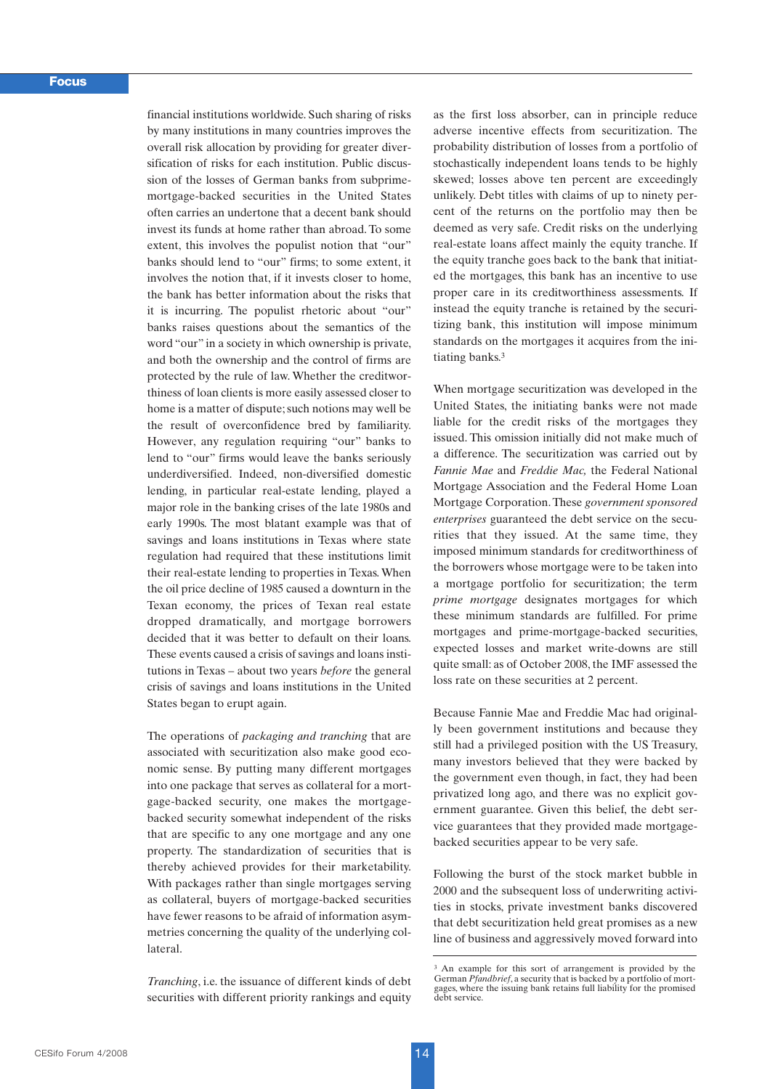financial institutions worldwide. Such sharing of risks by many institutions in many countries improves the overall risk allocation by providing for greater diversification of risks for each institution. Public discussion of the losses of German banks from subprimemortgage-backed securities in the United States often carries an undertone that a decent bank should invest its funds at home rather than abroad. To some extent, this involves the populist notion that "our" banks should lend to "our" firms; to some extent, it involves the notion that, if it invests closer to home, the bank has better information about the risks that it is incurring. The populist rhetoric about "our" banks raises questions about the semantics of the word "our" in a society in which ownership is private, and both the ownership and the control of firms are protected by the rule of law. Whether the creditworthiness of loan clients is more easily assessed closer to home is a matter of dispute; such notions may well be the result of overconfidence bred by familiarity. However, any regulation requiring "our" banks to lend to "our" firms would leave the banks seriously underdiversified. Indeed, non-diversified domestic lending, in particular real-estate lending, played a major role in the banking crises of the late 1980s and early 1990s. The most blatant example was that of savings and loans institutions in Texas where state regulation had required that these institutions limit their real-estate lending to properties in Texas. When the oil price decline of 1985 caused a downturn in the Texan economy, the prices of Texan real estate dropped dramatically, and mortgage borrowers decided that it was better to default on their loans. These events caused a crisis of savings and loans institutions in Texas – about two years *before* the general crisis of savings and loans institutions in the United States began to erupt again.

The operations of *packaging and tranching* that are associated with securitization also make good economic sense. By putting many different mortgages into one package that serves as collateral for a mortgage-backed security, one makes the mortgagebacked security somewhat independent of the risks that are specific to any one mortgage and any one property. The standardization of securities that is thereby achieved provides for their marketability. With packages rather than single mortgages serving as collateral, buyers of mortgage-backed securities have fewer reasons to be afraid of information asymmetries concerning the quality of the underlying collateral.

*Tranching*, i.e. the issuance of different kinds of debt securities with different priority rankings and equity as the first loss absorber, can in principle reduce adverse incentive effects from securitization. The probability distribution of losses from a portfolio of stochastically independent loans tends to be highly skewed; losses above ten percent are exceedingly unlikely. Debt titles with claims of up to ninety percent of the returns on the portfolio may then be deemed as very safe. Credit risks on the underlying real-estate loans affect mainly the equity tranche. If the equity tranche goes back to the bank that initiated the mortgages, this bank has an incentive to use proper care in its creditworthiness assessments. If instead the equity tranche is retained by the securitizing bank, this institution will impose minimum standards on the mortgages it acquires from the initiating banks.3

When mortgage securitization was developed in the United States, the initiating banks were not made liable for the credit risks of the mortgages they issued. This omission initially did not make much of a difference. The securitization was carried out by *Fannie Mae* and *Freddie Mac,* the Federal National Mortgage Association and the Federal Home Loan Mortgage Corporation.These *government sponsored enterprises* guaranteed the debt service on the securities that they issued. At the same time, they imposed minimum standards for creditworthiness of the borrowers whose mortgage were to be taken into a mortgage portfolio for securitization; the term *prime mortgage* designates mortgages for which these minimum standards are fulfilled. For prime mortgages and prime-mortgage-backed securities, expected losses and market write-downs are still quite small: as of October 2008, the IMF assessed the loss rate on these securities at 2 percent.

Because Fannie Mae and Freddie Mac had originally been government institutions and because they still had a privileged position with the US Treasury, many investors believed that they were backed by the government even though, in fact, they had been privatized long ago, and there was no explicit government guarantee. Given this belief, the debt service guarantees that they provided made mortgagebacked securities appear to be very safe.

Following the burst of the stock market bubble in 2000 and the subsequent loss of underwriting activities in stocks, private investment banks discovered that debt securitization held great promises as a new line of business and aggressively moved forward into

<sup>3</sup> An example for this sort of arrangement is provided by the German *Pfandbrief*, a security that is backed by a portfolio of mortgages, where the issuing bank retains full liability for the promised debt service.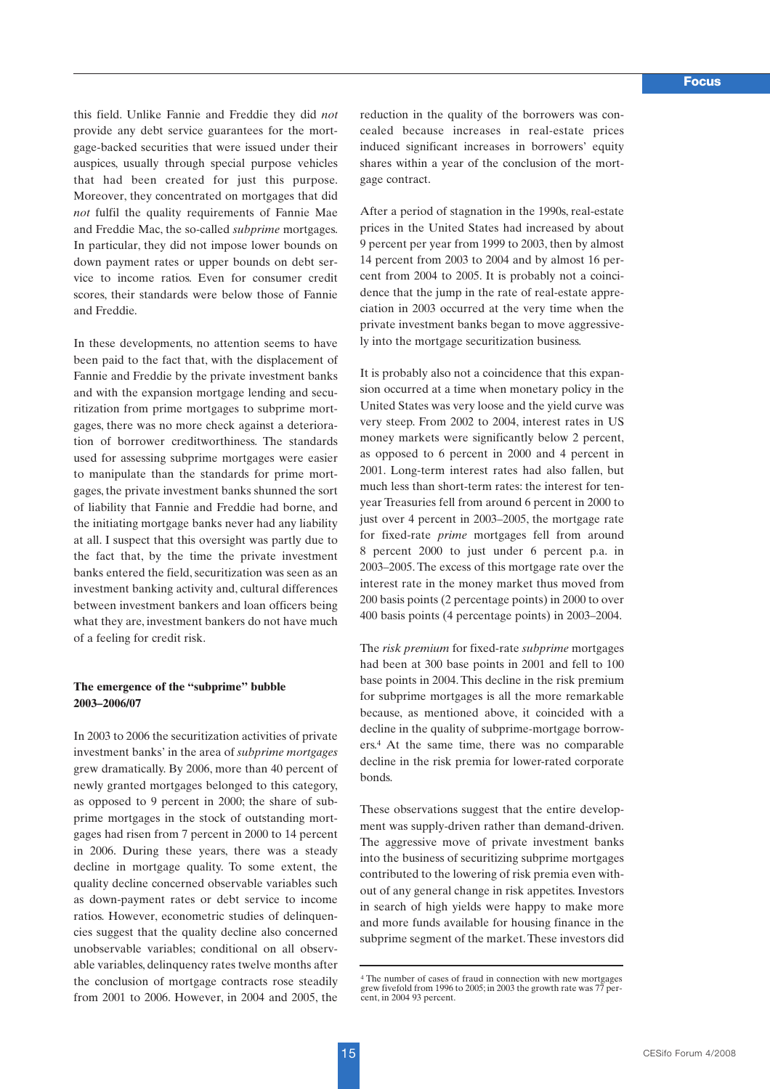this field. Unlike Fannie and Freddie they did *not* provide any debt service guarantees for the mortgage-backed securities that were issued under their auspices, usually through special purpose vehicles that had been created for just this purpose. Moreover, they concentrated on mortgages that did *not* fulfil the quality requirements of Fannie Mae and Freddie Mac, the so-called *subprime* mortgages. In particular, they did not impose lower bounds on down payment rates or upper bounds on debt service to income ratios. Even for consumer credit scores, their standards were below those of Fannie and Freddie.

In these developments, no attention seems to have been paid to the fact that, with the displacement of Fannie and Freddie by the private investment banks and with the expansion mortgage lending and securitization from prime mortgages to subprime mortgages, there was no more check against a deterioration of borrower creditworthiness. The standards used for assessing subprime mortgages were easier to manipulate than the standards for prime mortgages, the private investment banks shunned the sort of liability that Fannie and Freddie had borne, and the initiating mortgage banks never had any liability at all. I suspect that this oversight was partly due to the fact that, by the time the private investment banks entered the field, securitization was seen as an investment banking activity and, cultural differences between investment bankers and loan officers being what they are, investment bankers do not have much of a feeling for credit risk.

## **The emergence of the "subprime" bubble 2003–2006/07**

In 2003 to 2006 the securitization activities of private investment banks' in the area of *subprime mortgages* grew dramatically. By 2006, more than 40 percent of newly granted mortgages belonged to this category, as opposed to 9 percent in 2000; the share of subprime mortgages in the stock of outstanding mortgages had risen from 7 percent in 2000 to 14 percent in 2006. During these years, there was a steady decline in mortgage quality. To some extent, the quality decline concerned observable variables such as down-payment rates or debt service to income ratios. However, econometric studies of delinquencies suggest that the quality decline also concerned unobservable variables; conditional on all observable variables, delinquency rates twelve months after the conclusion of mortgage contracts rose steadily from 2001 to 2006. However, in 2004 and 2005, the

reduction in the quality of the borrowers was concealed because increases in real-estate prices induced significant increases in borrowers' equity shares within a year of the conclusion of the mortgage contract.

After a period of stagnation in the 1990s, real-estate prices in the United States had increased by about 9 percent per year from 1999 to 2003, then by almost 14 percent from 2003 to 2004 and by almost 16 percent from 2004 to 2005. It is probably not a coincidence that the jump in the rate of real-estate appreciation in 2003 occurred at the very time when the private investment banks began to move aggressively into the mortgage securitization business.

It is probably also not a coincidence that this expansion occurred at a time when monetary policy in the United States was very loose and the yield curve was very steep. From 2002 to 2004, interest rates in US money markets were significantly below 2 percent, as opposed to 6 percent in 2000 and 4 percent in 2001. Long-term interest rates had also fallen, but much less than short-term rates: the interest for tenyear Treasuries fell from around 6 percent in 2000 to just over 4 percent in 2003–2005, the mortgage rate for fixed-rate *prime* mortgages fell from around 8 percent 2000 to just under 6 percent p.a. in 2003–2005. The excess of this mortgage rate over the interest rate in the money market thus moved from 200 basis points (2 percentage points) in 2000 to over 400 basis points (4 percentage points) in 2003–2004.

The *risk premium* for fixed-rate *subprime* mortgages had been at 300 base points in 2001 and fell to 100 base points in 2004. This decline in the risk premium for subprime mortgages is all the more remarkable because, as mentioned above, it coincided with a decline in the quality of subprime-mortgage borrowers.4 At the same time, there was no comparable decline in the risk premia for lower-rated corporate bonds.

These observations suggest that the entire development was supply-driven rather than demand-driven. The aggressive move of private investment banks into the business of securitizing subprime mortgages contributed to the lowering of risk premia even without of any general change in risk appetites. Investors in search of high yields were happy to make more and more funds available for housing finance in the subprime segment of the market.These investors did

<sup>4</sup> The number of cases of fraud in connection with new mortgages grew fivefold from 1996 to 2005; in 2003 the growth rate was 77 percent, in 2004 93 percent.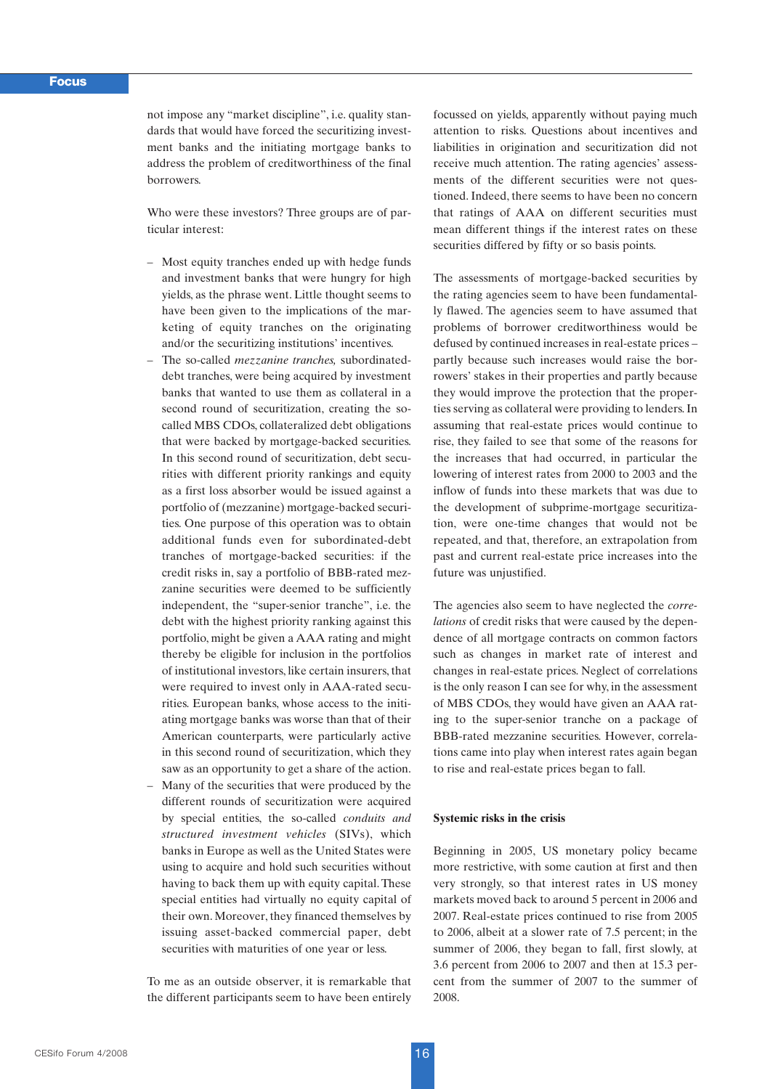not impose any "market discipline", i.e. quality standards that would have forced the securitizing investment banks and the initiating mortgage banks to address the problem of creditworthiness of the final borrowers.

Who were these investors? Three groups are of particular interest:

- Most equity tranches ended up with hedge funds and investment banks that were hungry for high yields, as the phrase went. Little thought seems to have been given to the implications of the marketing of equity tranches on the originating and/or the securitizing institutions' incentives.
- The so-called *mezzanine tranches,* subordinateddebt tranches, were being acquired by investment banks that wanted to use them as collateral in a second round of securitization, creating the socalled MBS CDOs, collateralized debt obligations that were backed by mortgage-backed securities. In this second round of securitization, debt securities with different priority rankings and equity as a first loss absorber would be issued against a portfolio of (mezzanine) mortgage-backed securities. One purpose of this operation was to obtain additional funds even for subordinated-debt tranches of mortgage-backed securities: if the credit risks in, say a portfolio of BBB-rated mezzanine securities were deemed to be sufficiently independent, the "super-senior tranche", i.e. the debt with the highest priority ranking against this portfolio, might be given a AAA rating and might thereby be eligible for inclusion in the portfolios of institutional investors, like certain insurers, that were required to invest only in AAA-rated securities. European banks, whose access to the initiating mortgage banks was worse than that of their American counterparts, were particularly active in this second round of securitization, which they saw as an opportunity to get a share of the action.
- Many of the securities that were produced by the different rounds of securitization were acquired by special entities, the so-called *conduits and structured investment vehicles* (SIVs), which banks in Europe as well as the United States were using to acquire and hold such securities without having to back them up with equity capital. These special entities had virtually no equity capital of their own. Moreover, they financed themselves by issuing asset-backed commercial paper, debt securities with maturities of one year or less.

To me as an outside observer, it is remarkable that the different participants seem to have been entirely focussed on yields, apparently without paying much attention to risks. Questions about incentives and liabilities in origination and securitization did not receive much attention. The rating agencies' assessments of the different securities were not questioned. Indeed, there seems to have been no concern that ratings of AAA on different securities must mean different things if the interest rates on these securities differed by fifty or so basis points.

The assessments of mortgage-backed securities by the rating agencies seem to have been fundamentally flawed. The agencies seem to have assumed that problems of borrower creditworthiness would be defused by continued increases in real-estate prices – partly because such increases would raise the borrowers' stakes in their properties and partly because they would improve the protection that the properties serving as collateral were providing to lenders. In assuming that real-estate prices would continue to rise, they failed to see that some of the reasons for the increases that had occurred, in particular the lowering of interest rates from 2000 to 2003 and the inflow of funds into these markets that was due to the development of subprime-mortgage securitization, were one-time changes that would not be repeated, and that, therefore, an extrapolation from past and current real-estate price increases into the future was unjustified.

The agencies also seem to have neglected the *correlations* of credit risks that were caused by the dependence of all mortgage contracts on common factors such as changes in market rate of interest and changes in real-estate prices. Neglect of correlations is the only reason I can see for why, in the assessment of MBS CDOs, they would have given an AAA rating to the super-senior tranche on a package of BBB-rated mezzanine securities. However, correlations came into play when interest rates again began to rise and real-estate prices began to fall.

#### **Systemic risks in the crisis**

Beginning in 2005, US monetary policy became more restrictive, with some caution at first and then very strongly, so that interest rates in US money markets moved back to around 5 percent in 2006 and 2007. Real-estate prices continued to rise from 2005 to 2006, albeit at a slower rate of 7.5 percent; in the summer of 2006, they began to fall, first slowly, at 3.6 percent from 2006 to 2007 and then at 15.3 percent from the summer of 2007 to the summer of 2008.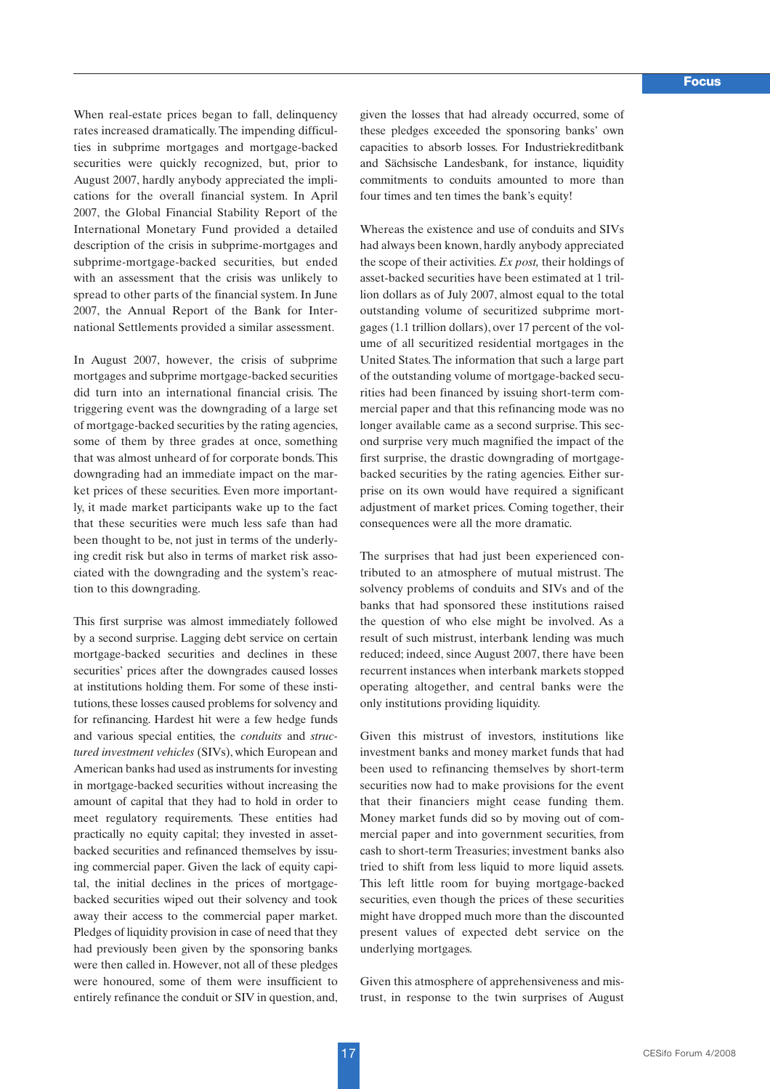When real-estate prices began to fall, delinquency rates increased dramatically. The impending difficulties in subprime mortgages and mortgage-backed securities were quickly recognized, but, prior to August 2007, hardly anybody appreciated the implications for the overall financial system. In April 2007, the Global Financial Stability Report of the International Monetary Fund provided a detailed description of the crisis in subprime-mortgages and subprime-mortgage-backed securities, but ended with an assessment that the crisis was unlikely to spread to other parts of the financial system. In June 2007, the Annual Report of the Bank for International Settlements provided a similar assessment.

In August 2007, however, the crisis of subprime mortgages and subprime mortgage-backed securities did turn into an international financial crisis. The triggering event was the downgrading of a large set of mortgage-backed securities by the rating agencies, some of them by three grades at once, something that was almost unheard of for corporate bonds. This downgrading had an immediate impact on the market prices of these securities. Even more importantly, it made market participants wake up to the fact that these securities were much less safe than had been thought to be, not just in terms of the underlying credit risk but also in terms of market risk associated with the downgrading and the system's reaction to this downgrading.

This first surprise was almost immediately followed by a second surprise. Lagging debt service on certain mortgage-backed securities and declines in these securities' prices after the downgrades caused losses at institutions holding them. For some of these institutions, these losses caused problems for solvency and for refinancing. Hardest hit were a few hedge funds and various special entities, the *conduits* and *structured investment vehicles* (SIVs), which European and American banks had used as instruments for investing in mortgage-backed securities without increasing the amount of capital that they had to hold in order to meet regulatory requirements. These entities had practically no equity capital; they invested in assetbacked securities and refinanced themselves by issuing commercial paper. Given the lack of equity capital, the initial declines in the prices of mortgagebacked securities wiped out their solvency and took away their access to the commercial paper market. Pledges of liquidity provision in case of need that they had previously been given by the sponsoring banks were then called in. However, not all of these pledges were honoured, some of them were insufficient to entirely refinance the conduit or SIV in question, and,

given the losses that had already occurred, some of these pledges exceeded the sponsoring banks' own capacities to absorb losses. For Industriekreditbank and Sächsische Landesbank, for instance, liquidity commitments to conduits amounted to more than four times and ten times the bank's equity!

Whereas the existence and use of conduits and SIVs had always been known, hardly anybody appreciated the scope of their activities. *Ex post,* their holdings of asset-backed securities have been estimated at 1 trillion dollars as of July 2007, almost equal to the total outstanding volume of securitized subprime mortgages (1.1 trillion dollars), over 17 percent of the volume of all securitized residential mortgages in the United States. The information that such a large part of the outstanding volume of mortgage-backed securities had been financed by issuing short-term commercial paper and that this refinancing mode was no longer available came as a second surprise. This second surprise very much magnified the impact of the first surprise, the drastic downgrading of mortgagebacked securities by the rating agencies. Either surprise on its own would have required a significant adjustment of market prices. Coming together, their consequences were all the more dramatic.

The surprises that had just been experienced contributed to an atmosphere of mutual mistrust. The solvency problems of conduits and SIVs and of the banks that had sponsored these institutions raised the question of who else might be involved. As a result of such mistrust, interbank lending was much reduced; indeed, since August 2007, there have been recurrent instances when interbank markets stopped operating altogether, and central banks were the only institutions providing liquidity.

Given this mistrust of investors, institutions like investment banks and money market funds that had been used to refinancing themselves by short-term securities now had to make provisions for the event that their financiers might cease funding them. Money market funds did so by moving out of commercial paper and into government securities, from cash to short-term Treasuries; investment banks also tried to shift from less liquid to more liquid assets. This left little room for buying mortgage-backed securities, even though the prices of these securities might have dropped much more than the discounted present values of expected debt service on the underlying mortgages.

Given this atmosphere of apprehensiveness and mistrust, in response to the twin surprises of August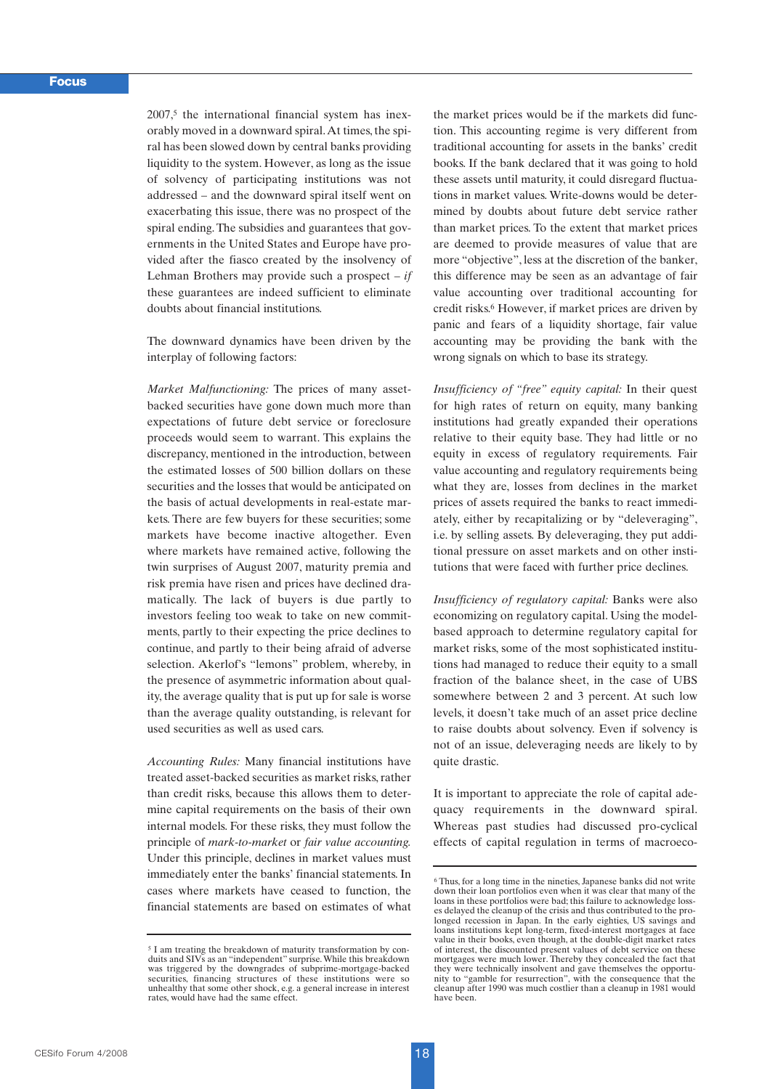$2007<sup>5</sup>$  the international financial system has inexorably moved in a downward spiral.At times, the spiral has been slowed down by central banks providing liquidity to the system. However, as long as the issue of solvency of participating institutions was not addressed – and the downward spiral itself went on exacerbating this issue, there was no prospect of the spiral ending. The subsidies and guarantees that governments in the United States and Europe have provided after the fiasco created by the insolvency of Lehman Brothers may provide such a prospect – *if* these guarantees are indeed sufficient to eliminate doubts about financial institutions.

The downward dynamics have been driven by the interplay of following factors:

*Market Malfunctioning:* The prices of many assetbacked securities have gone down much more than expectations of future debt service or foreclosure proceeds would seem to warrant. This explains the discrepancy, mentioned in the introduction, between the estimated losses of 500 billion dollars on these securities and the losses that would be anticipated on the basis of actual developments in real-estate markets. There are few buyers for these securities; some markets have become inactive altogether. Even where markets have remained active, following the twin surprises of August 2007, maturity premia and risk premia have risen and prices have declined dramatically. The lack of buyers is due partly to investors feeling too weak to take on new commitments, partly to their expecting the price declines to continue, and partly to their being afraid of adverse selection. Akerlof's "lemons" problem, whereby, in the presence of asymmetric information about quality, the average quality that is put up for sale is worse than the average quality outstanding, is relevant for used securities as well as used cars.

*Accounting Rules:* Many financial institutions have treated asset-backed securities as market risks, rather than credit risks, because this allows them to determine capital requirements on the basis of their own internal models. For these risks, they must follow the principle of *mark-to-market* or *fair value accounting.* Under this principle, declines in market values must immediately enter the banks' financial statements. In cases where markets have ceased to function, the financial statements are based on estimates of what the market prices would be if the markets did function. This accounting regime is very different from traditional accounting for assets in the banks' credit books. If the bank declared that it was going to hold these assets until maturity, it could disregard fluctuations in market values. Write-downs would be determined by doubts about future debt service rather than market prices. To the extent that market prices are deemed to provide measures of value that are more "objective", less at the discretion of the banker, this difference may be seen as an advantage of fair value accounting over traditional accounting for credit risks.6 However, if market prices are driven by panic and fears of a liquidity shortage, fair value accounting may be providing the bank with the wrong signals on which to base its strategy.

*Insufficiency of "free" equity capital:* In their quest for high rates of return on equity, many banking institutions had greatly expanded their operations relative to their equity base. They had little or no equity in excess of regulatory requirements. Fair value accounting and regulatory requirements being what they are, losses from declines in the market prices of assets required the banks to react immediately, either by recapitalizing or by "deleveraging", i.e. by selling assets. By deleveraging, they put additional pressure on asset markets and on other institutions that were faced with further price declines.

*Insufficiency of regulatory capital:* Banks were also economizing on regulatory capital. Using the modelbased approach to determine regulatory capital for market risks, some of the most sophisticated institutions had managed to reduce their equity to a small fraction of the balance sheet, in the case of UBS somewhere between 2 and 3 percent. At such low levels, it doesn't take much of an asset price decline to raise doubts about solvency. Even if solvency is not of an issue, deleveraging needs are likely to by quite drastic.

It is important to appreciate the role of capital adequacy requirements in the downward spiral. Whereas past studies had discussed pro-cyclical effects of capital regulation in terms of macroeco-

<sup>5</sup> I am treating the breakdown of maturity transformation by conduits and SIVs as an "independent" surprise. While this breakdown was triggered by the downgrades of subprime-mortgage-backed securities, financing structures of these institutions were so unhealthy that some other shock, e.g. a general increase in interest rates, would have had the same effect.

<sup>6</sup> Thus, for a long time in the nineties, Japanese banks did not write down their loan portfolios even when it was clear that many of the loans in these portfolios were bad; this failure to acknowledge losses delayed the cleanup of the crisis and thus contributed to the prolonged recession in Japan. In the early eighties, US savings and loans institutions kept long-term, fixed-interest mortgages at face value in their books, even though, at the double-digit market rates of interest, the discounted present values of debt service on these mortgages were much lower. Thereby they concealed the fact that they were technically insolvent and gave themselves the opportu-nity to "gamble for resurrection", with the consequence that the cleanup after 1990 was much costlier than a cleanup in 1981 would have been.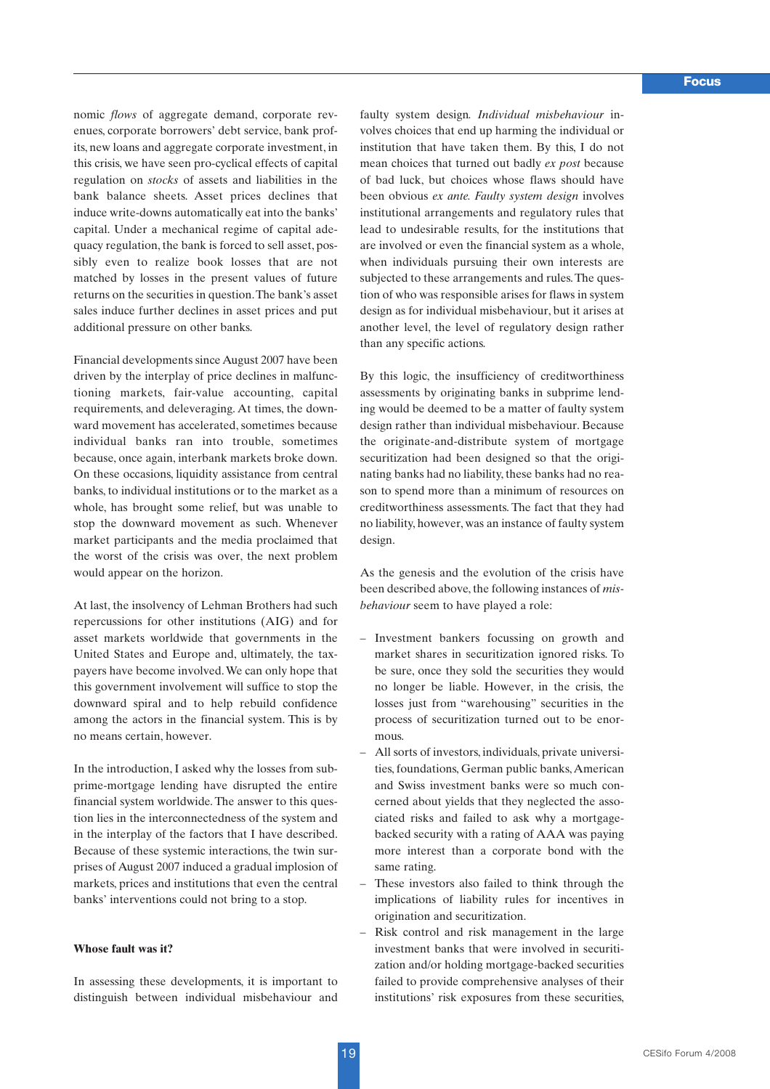nomic *flows* of aggregate demand, corporate revenues, corporate borrowers' debt service, bank profits, new loans and aggregate corporate investment, in this crisis, we have seen pro-cyclical effects of capital regulation on *stocks* of assets and liabilities in the bank balance sheets. Asset prices declines that induce write-downs automatically eat into the banks' capital. Under a mechanical regime of capital adequacy regulation, the bank is forced to sell asset, possibly even to realize book losses that are not matched by losses in the present values of future returns on the securities in question.The bank's asset sales induce further declines in asset prices and put additional pressure on other banks.

Financial developments since August 2007 have been driven by the interplay of price declines in malfunctioning markets, fair-value accounting, capital requirements, and deleveraging. At times, the downward movement has accelerated, sometimes because individual banks ran into trouble, sometimes because, once again, interbank markets broke down. On these occasions, liquidity assistance from central banks, to individual institutions or to the market as a whole, has brought some relief, but was unable to stop the downward movement as such. Whenever market participants and the media proclaimed that the worst of the crisis was over, the next problem would appear on the horizon.

At last, the insolvency of Lehman Brothers had such repercussions for other institutions (AIG) and for asset markets worldwide that governments in the United States and Europe and, ultimately, the taxpayers have become involved.We can only hope that this government involvement will suffice to stop the downward spiral and to help rebuild confidence among the actors in the financial system. This is by no means certain, however.

In the introduction, I asked why the losses from subprime-mortgage lending have disrupted the entire financial system worldwide. The answer to this question lies in the interconnectedness of the system and in the interplay of the factors that I have described. Because of these systemic interactions, the twin surprises of August 2007 induced a gradual implosion of markets, prices and institutions that even the central banks' interventions could not bring to a stop.

### **Whose fault was it?**

In assessing these developments, it is important to distinguish between individual misbehaviour and faulty system design*. Individual misbehaviour* involves choices that end up harming the individual or institution that have taken them. By this, I do not mean choices that turned out badly *ex post* because of bad luck, but choices whose flaws should have been obvious *ex ante. Faulty system design* involves institutional arrangements and regulatory rules that lead to undesirable results, for the institutions that are involved or even the financial system as a whole, when individuals pursuing their own interests are subjected to these arrangements and rules.The question of who was responsible arises for flaws in system design as for individual misbehaviour, but it arises at another level, the level of regulatory design rather than any specific actions.

By this logic, the insufficiency of creditworthiness assessments by originating banks in subprime lending would be deemed to be a matter of faulty system design rather than individual misbehaviour. Because the originate-and-distribute system of mortgage securitization had been designed so that the originating banks had no liability, these banks had no reason to spend more than a minimum of resources on creditworthiness assessments. The fact that they had no liability, however, was an instance of faulty system design.

As the genesis and the evolution of the crisis have been described above, the following instances of *misbehaviour* seem to have played a role:

- Investment bankers focussing on growth and market shares in securitization ignored risks. To be sure, once they sold the securities they would no longer be liable. However, in the crisis, the losses just from "warehousing" securities in the process of securitization turned out to be enormous.
- All sorts of investors, individuals, private universities, foundations, German public banks, American and Swiss investment banks were so much concerned about yields that they neglected the associated risks and failed to ask why a mortgagebacked security with a rating of AAA was paying more interest than a corporate bond with the same rating.
- These investors also failed to think through the implications of liability rules for incentives in origination and securitization.
- Risk control and risk management in the large investment banks that were involved in securitization and/or holding mortgage-backed securities failed to provide comprehensive analyses of their institutions' risk exposures from these securities,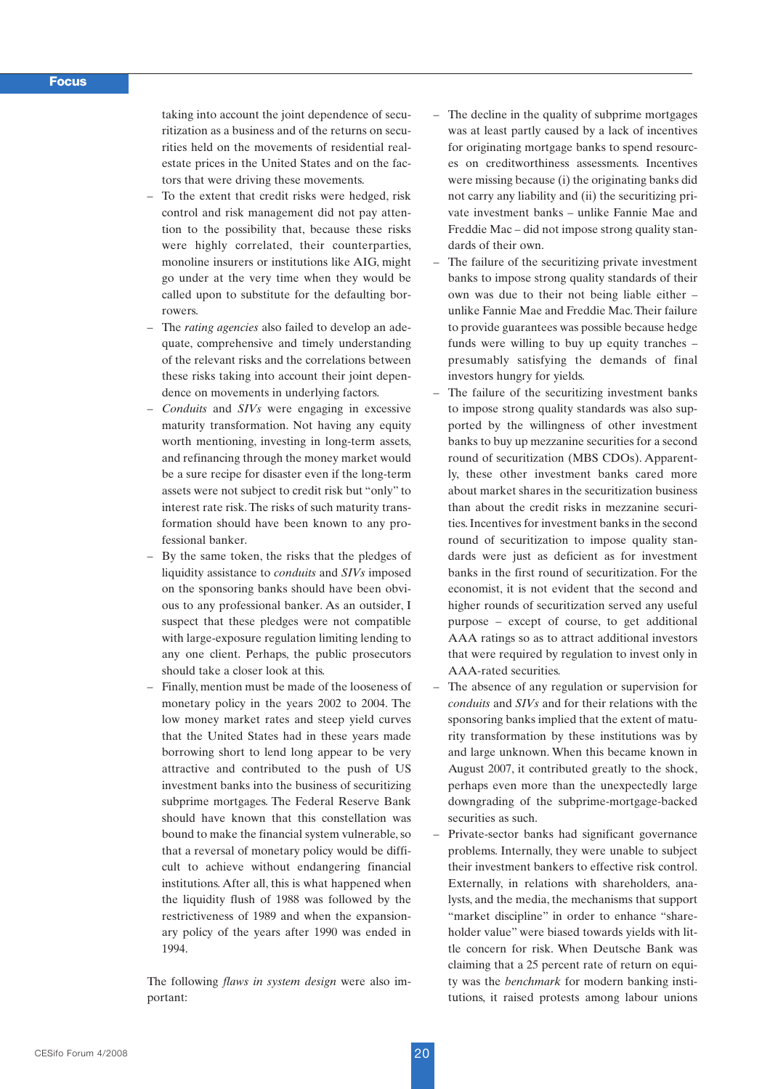taking into account the joint dependence of securitization as a business and of the returns on securities held on the movements of residential realestate prices in the United States and on the factors that were driving these movements.

- To the extent that credit risks were hedged, risk control and risk management did not pay attention to the possibility that, because these risks were highly correlated, their counterparties, monoline insurers or institutions like AIG, might go under at the very time when they would be called upon to substitute for the defaulting borrowers.
- The *rating agencies* also failed to develop an adequate, comprehensive and timely understanding of the relevant risks and the correlations between these risks taking into account their joint dependence on movements in underlying factors.
- *Conduits* and *SIVs* were engaging in excessive maturity transformation. Not having any equity worth mentioning, investing in long-term assets, and refinancing through the money market would be a sure recipe for disaster even if the long-term assets were not subject to credit risk but "only" to interest rate risk. The risks of such maturity transformation should have been known to any professional banker.
- By the same token, the risks that the pledges of liquidity assistance to *conduits* and *SIVs* imposed on the sponsoring banks should have been obvious to any professional banker. As an outsider, I suspect that these pledges were not compatible with large-exposure regulation limiting lending to any one client. Perhaps, the public prosecutors should take a closer look at this.
- Finally, mention must be made of the looseness of monetary policy in the years 2002 to 2004. The low money market rates and steep yield curves that the United States had in these years made borrowing short to lend long appear to be very attractive and contributed to the push of US investment banks into the business of securitizing subprime mortgages. The Federal Reserve Bank should have known that this constellation was bound to make the financial system vulnerable, so that a reversal of monetary policy would be difficult to achieve without endangering financial institutions. After all, this is what happened when the liquidity flush of 1988 was followed by the restrictiveness of 1989 and when the expansionary policy of the years after 1990 was ended in 1994.

The following *flaws in system design* were also important:

- The decline in the quality of subprime mortgages was at least partly caused by a lack of incentives for originating mortgage banks to spend resources on creditworthiness assessments. Incentives were missing because (i) the originating banks did not carry any liability and (ii) the securitizing private investment banks – unlike Fannie Mae and Freddie Mac – did not impose strong quality standards of their own.
- The failure of the securitizing private investment banks to impose strong quality standards of their own was due to their not being liable either – unlike Fannie Mae and Freddie Mac. Their failure to provide guarantees was possible because hedge funds were willing to buy up equity tranches – presumably satisfying the demands of final investors hungry for yields.
- The failure of the securitizing investment banks to impose strong quality standards was also supported by the willingness of other investment banks to buy up mezzanine securities for a second round of securitization (MBS CDOs). Apparently, these other investment banks cared more about market shares in the securitization business than about the credit risks in mezzanine securities. Incentives for investment banks in the second round of securitization to impose quality standards were just as deficient as for investment banks in the first round of securitization. For the economist, it is not evident that the second and higher rounds of securitization served any useful purpose – except of course, to get additional AAA ratings so as to attract additional investors that were required by regulation to invest only in AAA-rated securities.
- The absence of any regulation or supervision for *conduits* and *SIVs* and for their relations with the sponsoring banks implied that the extent of maturity transformation by these institutions was by and large unknown. When this became known in August 2007, it contributed greatly to the shock, perhaps even more than the unexpectedly large downgrading of the subprime-mortgage-backed securities as such.
- Private-sector banks had significant governance problems. Internally, they were unable to subject their investment bankers to effective risk control. Externally, in relations with shareholders, analysts, and the media, the mechanisms that support "market discipline" in order to enhance "shareholder value" were biased towards yields with little concern for risk. When Deutsche Bank was claiming that a 25 percent rate of return on equity was the *benchmark* for modern banking institutions, it raised protests among labour unions